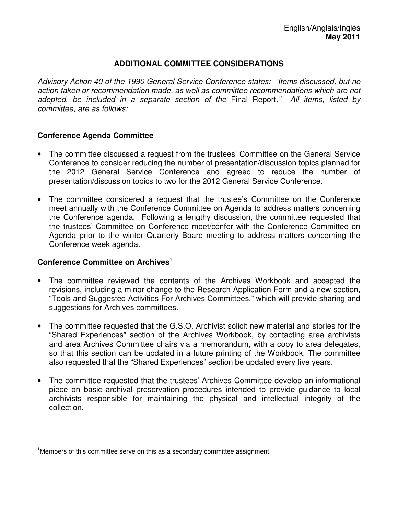### **ADDITIONAL COMMITTEE CONSIDERATIONS**

Advisory Action 40 of the 1990 General Service Conference states: "Items discussed, but no action taken or recommendation made, as well as committee recommendations which are not adopted, be included in a separate section of the Final Report." All items, listed by committee, are as follows:

#### **Conference Agenda Committee**

- The committee discussed a request from the trustees' Committee on the General Service Conference to consider reducing the number of presentation/discussion topics planned for the 2012 General Service Conference and agreed to reduce the number of presentation/discussion topics to two for the 2012 General Service Conference.
- The committee considered a request that the trustee's Committee on the Conference meet annually with the Conference Committee on Agenda to address matters concerning the Conference agenda. Following a lengthy discussion, the committee requested that the trustees' Committee on Conference meet/confer with the Conference Committee on Agenda prior to the winter Quarterly Board meeting to address matters concerning the Conference week agenda.

#### **Conference Committee on Archives**<sup>1</sup>

- The committee reviewed the contents of the Archives Workbook and accepted the revisions, including a minor change to the Research Application Form and a new section, "Tools and Suggested Activities For Archives Committees," which will provide sharing and suggestions for Archives committees.
- The committee requested that the G.S.O. Archivist solicit new material and stories for the "Shared Experiences" section of the Archives Workbook, by contacting area archivists and area Archives Committee chairs via a memorandum, with a copy to area delegates, so that this section can be updated in a future printing of the Workbook. The committee also requested that the "Shared Experiences" section be updated every five years.
- The committee requested that the trustees' Archives Committee develop an informational piece on basic archival preservation procedures intended to provide guidance to local archivists responsible for maintaining the physical and intellectual integrity of the collection.

<sup>1</sup>Members of this committee serve on this as a secondary committee assignment.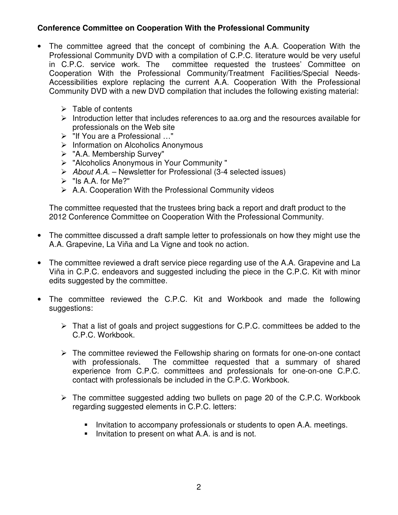# **Conference Committee on Cooperation With the Professional Community**

- The committee agreed that the concept of combining the A.A. Cooperation With the Professional Community DVD with a compilation of C.P.C. literature would be very useful in C.P.C. service work. The committee requested the trustees' Committee on Cooperation With the Professional Community/Treatment Facilities/Special Needs-Accessibilities explore replacing the current A.A. Cooperation With the Professional Community DVD with a new DVD compilation that includes the following existing material:
	- $\triangleright$  Table of contents
	- $\triangleright$  Introduction letter that includes references to aa.org and the resources available for professionals on the Web site
	- "If You are a Professional …"
	- $\triangleright$  Information on Alcoholics Anonymous
	- "A.A. Membership Survey"
	- "Alcoholics Anonymous in Your Community "
	- $\triangleright$  About A.A. Newsletter for Professional (3-4 selected issues)
	- $\triangleright$  "Is A.A. for Me?"
	- $\triangleright$  A.A. Cooperation With the Professional Community videos

The committee requested that the trustees bring back a report and draft product to the 2012 Conference Committee on Cooperation With the Professional Community.

- The committee discussed a draft sample letter to professionals on how they might use the A.A. Grapevine, La Viña and La Vigne and took no action.
- The committee reviewed a draft service piece regarding use of the A.A. Grapevine and La Viña in C.P.C. endeavors and suggested including the piece in the C.P.C. Kit with minor edits suggested by the committee.
- The committee reviewed the C.P.C. Kit and Workbook and made the following suggestions:
	- $\triangleright$  That a list of goals and project suggestions for C.P.C. committees be added to the C.P.C. Workbook.
	- $\triangleright$  The committee reviewed the Fellowship sharing on formats for one-on-one contact with professionals. The committee requested that a summary of shared experience from C.P.C. committees and professionals for one-on-one C.P.C. contact with professionals be included in the C.P.C. Workbook.
	- $\triangleright$  The committee suggested adding two bullets on page 20 of the C.P.C. Workbook regarding suggested elements in C.P.C. letters:
		- **Invitation to accompany professionals or students to open A.A. meetings.**
		- **Invitation to present on what A.A. is and is not.**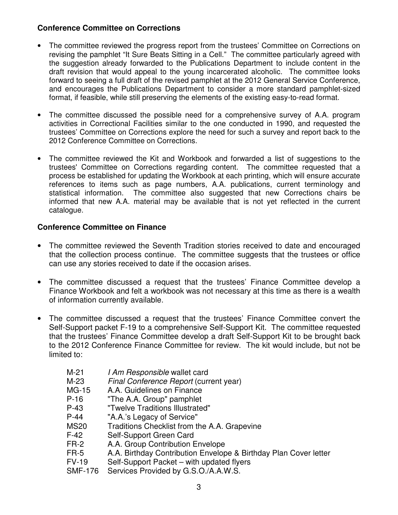# **Conference Committee on Corrections**

- The committee reviewed the progress report from the trustees' Committee on Corrections on revising the pamphlet "It Sure Beats Sitting in a Cell." The committee particularly agreed with the suggestion already forwarded to the Publications Department to include content in the draft revision that would appeal to the young incarcerated alcoholic. The committee looks forward to seeing a full draft of the revised pamphlet at the 2012 General Service Conference, and encourages the Publications Department to consider a more standard pamphlet-sized format, if feasible, while still preserving the elements of the existing easy-to-read format.
- The committee discussed the possible need for a comprehensive survey of A.A. program activities in Correctional Facilities similar to the one conducted in 1990, and requested the trustees' Committee on Corrections explore the need for such a survey and report back to the 2012 Conference Committee on Corrections.
- The committee reviewed the Kit and Workbook and forwarded a list of suggestions to the trustees' Committee on Corrections regarding content. The committee requested that a process be established for updating the Workbook at each printing, which will ensure accurate references to items such as page numbers, A.A. publications, current terminology and statistical information. The committee also suggested that new Corrections chairs be informed that new A.A. material may be available that is not yet reflected in the current catalogue.

# **Conference Committee on Finance**

- The committee reviewed the Seventh Tradition stories received to date and encouraged that the collection process continue. The committee suggests that the trustees or office can use any stories received to date if the occasion arises.
- The committee discussed a request that the trustees' Finance Committee develop a Finance Workbook and felt a workbook was not necessary at this time as there is a wealth of information currently available.
- The committee discussed a request that the trustees' Finance Committee convert the Self-Support packet F-19 to a comprehensive Self-Support Kit. The committee requested that the trustees' Finance Committee develop a draft Self-Support Kit to be brought back to the 2012 Conference Finance Committee for review. The kit would include, but not be limited to:
	- M-21 *I Am Responsible* wallet card M-23 Final Conference Report (current year) MG-15 A.A. Guidelines on Finance P-16 "The A.A. Group" pamphlet P-43 "Twelve Traditions Illustrated" P-44 "A.A.'s Legacy of Service" MS20 Traditions Checklist from the A.A. Grapevine F-42 Self-Support Green Card FR-2 A.A. Group Contribution Envelope FR-5 A.A. Birthday Contribution Envelope & Birthday Plan Cover letter FV-19 Self-Support Packet – with updated flyers
	- SMF-176 Services Provided by G.S.O./A.A.W.S.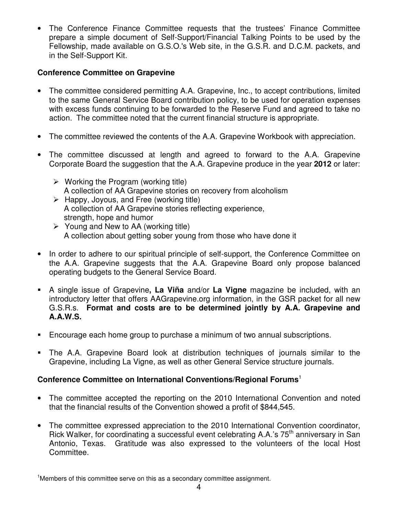• The Conference Finance Committee requests that the trustees' Finance Committee prepare a simple document of Self-Support/Financial Talking Points to be used by the Fellowship, made available on G.S.O.'s Web site, in the G.S.R. and D.C.M. packets, and in the Self-Support Kit.

# **Conference Committee on Grapevine**

- The committee considered permitting A.A. Grapevine, Inc., to accept contributions, limited to the same General Service Board contribution policy, to be used for operation expenses with excess funds continuing to be forwarded to the Reserve Fund and agreed to take no action. The committee noted that the current financial structure is appropriate.
- The committee reviewed the contents of the A.A. Grapevine Workbook with appreciation.
- The committee discussed at length and agreed to forward to the A.A. Grapevine Corporate Board the suggestion that the A.A. Grapevine produce in the year **2012** or later:
	- $\triangleright$  Working the Program (working title) A collection of AA Grapevine stories on recovery from alcoholism
	- $\triangleright$  Happy, Joyous, and Free (working title) A collection of AA Grapevine stories reflecting experience, strength, hope and humor
	- $\triangleright$  Young and New to AA (working title) A collection about getting sober young from those who have done it
- In order to adhere to our spiritual principle of self-support, the Conference Committee on the A.A. Grapevine suggests that the A.A. Grapevine Board only propose balanced operating budgets to the General Service Board.
- A single issue of Grapevine**, La Viña** and/or **La Vigne** magazine be included, with an introductory letter that offers AAGrapevine.org information, in the GSR packet for all new G.S.R.s. **Format and costs are to be determined jointly by A.A. Grapevine and A.A.W.S.**
- Encourage each home group to purchase a minimum of two annual subscriptions.
- The A.A. Grapevine Board look at distribution techniques of journals similar to the Grapevine, including La Vigne, as well as other General Service structure journals.

## **Conference Committee on International Conventions/Regional Forums**<sup>1</sup>

- The committee accepted the reporting on the 2010 International Convention and noted that the financial results of the Convention showed a profit of \$844,545.
- The committee expressed appreciation to the 2010 International Convention coordinator, Rick Walker, for coordinating a successful event celebrating A.A.'s 75<sup>th</sup> anniversary in San Antonio, Texas. Gratitude was also expressed to the volunteers of the local Host Committee.

<sup>1</sup>Members of this committee serve on this as a secondary committee assignment.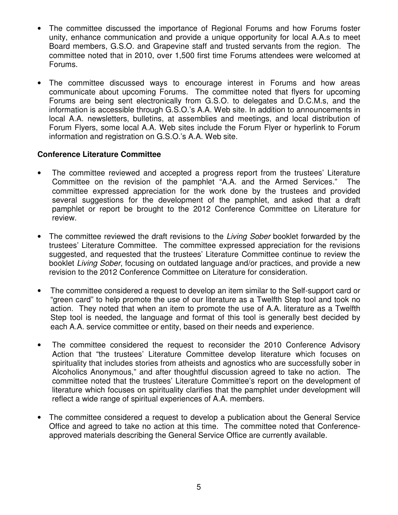- The committee discussed the importance of Regional Forums and how Forums foster unity, enhance communication and provide a unique opportunity for local A.A.s to meet Board members, G.S.O. and Grapevine staff and trusted servants from the region. The committee noted that in 2010, over 1,500 first time Forums attendees were welcomed at Forums.
- The committee discussed ways to encourage interest in Forums and how areas communicate about upcoming Forums. The committee noted that flyers for upcoming Forums are being sent electronically from G.S.O. to delegates and D.C.M.s, and the information is accessible through G.S.O.'s A.A. Web site. In addition to announcements in local A.A. newsletters, bulletins, at assemblies and meetings, and local distribution of Forum Flyers, some local A.A. Web sites include the Forum Flyer or hyperlink to Forum information and registration on G.S.O.'s A.A. Web site.

### **Conference Literature Committee**

- The committee reviewed and accepted a progress report from the trustees' Literature Committee on the revision of the pamphlet "A.A. and the Armed Services." The committee expressed appreciation for the work done by the trustees and provided several suggestions for the development of the pamphlet, and asked that a draft pamphlet or report be brought to the 2012 Conference Committee on Literature for review.
- The committee reviewed the draft revisions to the *Living Sober* booklet forwarded by the trustees' Literature Committee. The committee expressed appreciation for the revisions suggested, and requested that the trustees' Literature Committee continue to review the booklet Living Sober, focusing on outdated language and/or practices, and provide a new revision to the 2012 Conference Committee on Literature for consideration.
- The committee considered a request to develop an item similar to the Self-support card or "green card" to help promote the use of our literature as a Twelfth Step tool and took no action. They noted that when an item to promote the use of A.A. literature as a Twelfth Step tool is needed, the language and format of this tool is generally best decided by each A.A. service committee or entity, based on their needs and experience.
- The committee considered the request to reconsider the 2010 Conference Advisory Action that "the trustees' Literature Committee develop literature which focuses on spirituality that includes stories from atheists and agnostics who are successfully sober in Alcoholics Anonymous," and after thoughtful discussion agreed to take no action. The committee noted that the trustees' Literature Committee's report on the development of literature which focuses on spirituality clarifies that the pamphlet under development will reflect a wide range of spiritual experiences of A.A. members.
- The committee considered a request to develop a publication about the General Service Office and agreed to take no action at this time. The committee noted that Conferenceapproved materials describing the General Service Office are currently available.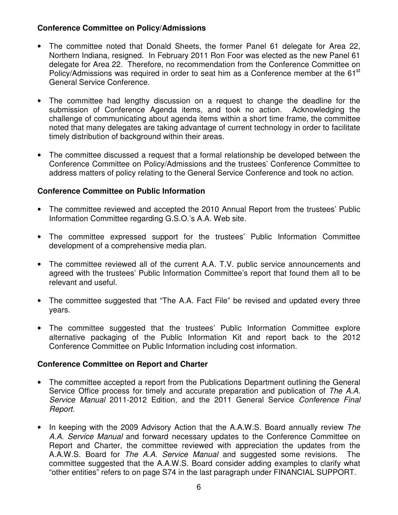## **Conference Committee on Policy/Admissions**

- The committee noted that Donald Sheets, the former Panel 61 delegate for Area 22, Northern Indiana, resigned. In February 2011 Ron Foor was elected as the new Panel 61 delegate for Area 22. Therefore, no recommendation from the Conference Committee on Policy/Admissions was required in order to seat him as a Conference member at the 61<sup>st</sup> General Service Conference.
- The committee had lengthy discussion on a request to change the deadline for the submission of Conference Agenda items, and took no action. Acknowledging the challenge of communicating about agenda items within a short time frame, the committee noted that many delegates are taking advantage of current technology in order to facilitate timely distribution of background within their areas.
- The committee discussed a request that a formal relationship be developed between the Conference Committee on Policy/Admissions and the trustees' Conference Committee to address matters of policy relating to the General Service Conference and took no action.

### **Conference Committee on Public Information**

- The committee reviewed and accepted the 2010 Annual Report from the trustees' Public Information Committee regarding G.S.O.'s A.A. Web site.
- The committee expressed support for the trustees' Public Information Committee development of a comprehensive media plan.
- The committee reviewed all of the current A.A. T.V. public service announcements and agreed with the trustees' Public Information Committee's report that found them all to be relevant and useful.
- The committee suggested that "The A.A. Fact File" be revised and updated every three years.
- The committee suggested that the trustees' Public Information Committee explore alternative packaging of the Public Information Kit and report back to the 2012 Conference Committee on Public Information including cost information.

#### **Conference Committee on Report and Charter**

- The committee accepted a report from the Publications Department outlining the General Service Office process for timely and accurate preparation and publication of The A.A. Service Manual 2011-2012 Edition, and the 2011 General Service Conference Final Report.
- In keeping with the 2009 Advisory Action that the A.A.W.S. Board annually review The A.A. Service Manual and forward necessary updates to the Conference Committee on Report and Charter, the committee reviewed with appreciation the updates from the A.A.W.S. Board for The A.A. Service Manual and suggested some revisions. The committee suggested that the A.A.W.S. Board consider adding examples to clarify what "other entities" refers to on page S74 in the last paragraph under FINANCIAL SUPPORT.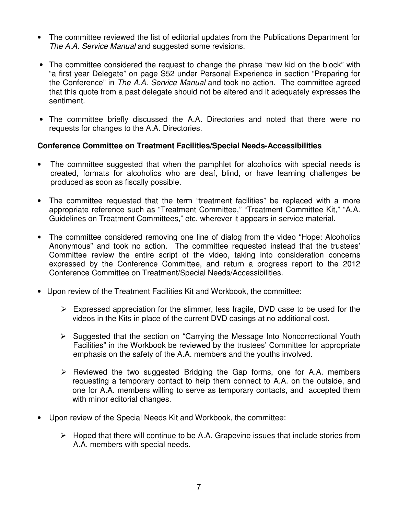- The committee reviewed the list of editorial updates from the Publications Department for The A.A. Service Manual and suggested some revisions.
- The committee considered the request to change the phrase "new kid on the block" with "a first year Delegate" on page S52 under Personal Experience in section "Preparing for the Conference" in The A.A. Service Manual and took no action. The committee agreed that this quote from a past delegate should not be altered and it adequately expresses the sentiment.
- The committee briefly discussed the A.A. Directories and noted that there were no requests for changes to the A.A. Directories.

### **Conference Committee on Treatment Facilities/Special Needs-Accessibilities**

- The committee suggested that when the pamphlet for alcoholics with special needs is created, formats for alcoholics who are deaf, blind, or have learning challenges be produced as soon as fiscally possible.
- The committee requested that the term "treatment facilities" be replaced with a more appropriate reference such as "Treatment Committee," "Treatment Committee Kit," "A.A. Guidelines on Treatment Committees," etc. wherever it appears in service material.
- The committee considered removing one line of dialog from the video "Hope: Alcoholics Anonymous" and took no action. The committee requested instead that the trustees' Committee review the entire script of the video, taking into consideration concerns expressed by the Conference Committee, and return a progress report to the 2012 Conference Committee on Treatment/Special Needs/Accessibilities.
- Upon review of the Treatment Facilities Kit and Workbook, the committee:
	- $\triangleright$  Expressed appreciation for the slimmer, less fragile, DVD case to be used for the videos in the Kits in place of the current DVD casings at no additional cost.
	- $\triangleright$  Suggested that the section on "Carrying the Message Into Noncorrectional Youth Facilities" in the Workbook be reviewed by the trustees' Committee for appropriate emphasis on the safety of the A.A. members and the youths involved.
	- $\triangleright$  Reviewed the two suggested Bridging the Gap forms, one for A.A. members requesting a temporary contact to help them connect to A.A. on the outside, and one for A.A. members willing to serve as temporary contacts, and accepted them with minor editorial changes.
- Upon review of the Special Needs Kit and Workbook, the committee:
	- $\triangleright$  Hoped that there will continue to be A.A. Grapevine issues that include stories from A.A. members with special needs.